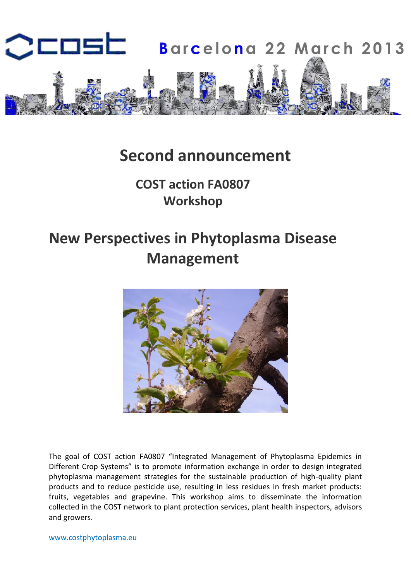

# **Second announcement**

## **COST action FA0807 Workshop**

# **New Perspectives in Phytoplasma Disease Management**



The goal of COST action FA0807 "Integrated Management of Phytoplasma Epidemics in Different Crop Systems" is to promote information exchange in order to design integrated phytoplasma management strategies for the sustainable production of high-quality plant products and to reduce pesticide use, resulting in less residues in fresh market products: fruits, vegetables and grapevine. This workshop aims to disseminate the information collected in the COST network to plant protection services, plant health inspectors, advisors and growers.

www.costphytoplasma.eu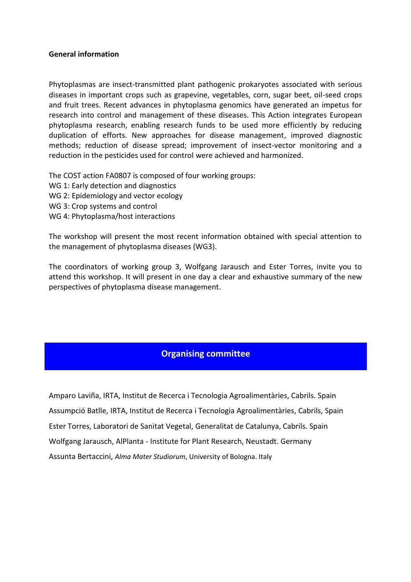#### **General information**

Phytoplasmas are insect-transmitted plant pathogenic prokaryotes associated with serious diseases in important crops such as grapevine, vegetables, corn, sugar beet, oil-seed crops and fruit trees. Recent advances in phytoplasma genomics have generated an impetus for research into control and management of these diseases. This Action integrates European phytoplasma research, enabling research funds to be used more efficiently by reducing duplication of efforts. New approaches for disease management, improved diagnostic methods; reduction of disease spread; improvement of insect-vector monitoring and a reduction in the pesticides used for control were achieved and harmonized.

The COST action FA0807 is composed of four working groups:

- WG 1: Early detection and diagnostics
- WG 2: Epidemiology and vector ecology
- WG 3: Crop systems and control
- WG 4: Phytoplasma/host interactions

The workshop will present the most recent information obtained with special attention to the management of phytoplasma diseases (WG3).

The coordinators of working group 3, Wolfgang Jarausch and Ester Torres, invite you to attend this workshop. It will present in one day a clear and exhaustive summary of the new perspectives of phytoplasma disease management.

#### **Organising committee**

Amparo Laviña, IRTA, Institut de Recerca i Tecnologia Agroalimentàries, Cabrils. Spain Assumpció Batlle, IRTA, Institut de Recerca i Tecnologia Agroalimentàries, Cabrils, Spain Ester Torres, Laboratori de Sanitat Vegetal, Generalitat de Catalunya, Cabrils. Spain Wolfgang Jarausch, AlPlanta - Institute for Plant Research, Neustadt. Germany Assunta Bertaccini, *Alma Mater Studiorum*, University of Bologna. Italy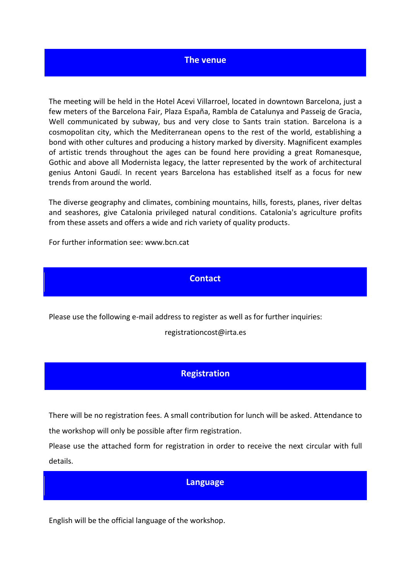#### **The venue**

The meeting will be held in the Hotel Acevi Villarroel, located in downtown Barcelona, just a few meters of the Barcelona Fair, Plaza España, Rambla de Catalunya and Passeig de Gracia, Well communicated by subway, bus and very close to Sants train station. Barcelona is a cosmopolitan city, which the Mediterranean opens to the rest of the world, establishing a bond with other cultures and producing a history marked by diversity. Magnificent examples of artistic trends throughout the ages can be found here providing a great Romanesque, Gothic and above all Modernista legacy, the latter represented by the work of architectural genius Antoni Gaudí. In recent years Barcelona has established itself as a focus for new trends from around the world.

The diverse geography and climates, combining mountains, hills, forests, planes, river deltas and seashores, give Catalonia privileged natural conditions. Catalonia's agriculture profits from these assets and offers a wide and rich variety of quality products.

For further information see: www.bcn.cat

#### **Contact**

Please use the following e-mail address to register as well as for further inquiries:

registrationcost@irta.es

#### **Registration**

There will be no registration fees. A small contribution for lunch will be asked. Attendance to the workshop will only be possible after firm registration.

Please use the attached form for registration in order to receive the next circular with full details.

#### **Language**

English will be the official language of the workshop.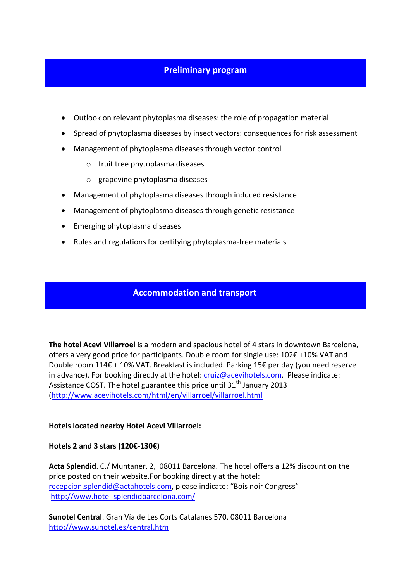#### **Preliminary program**

- <span id="page-3-0"></span>Outlook on relevant phytoplasma diseases: the role of propagation material
- Spread of phytoplasma diseases by insect vectors: consequences for risk assessment
- Management of phytoplasma diseases through vector control
	- o fruit tree phytoplasma diseases
	- o grapevine phytoplasma diseases
- Management of phytoplasma diseases through induced resistance
- Management of phytoplasma diseases through genetic resistance
- Emerging phytoplasma diseases
- Rules and regulations for certifying phytoplasma-free materials

#### **Accommodation and transport**

**The hotel Acevi Villarroel** is a modern and spacious hotel of 4 stars in downtown Barcelona, offers a very good price for participants. Double room for single use: 102€ +10% VAT and Double room 114€ + 10% VAT. Breakfast is included. Parking 15€ per day (you need reserve in advance). For booking directly at the hotel: [cruiz@acevihotels.com.](mailto:cruiz@acevihotels.com) Please indicate: Assistance COST. The hotel guarantee this price until  $31<sup>th</sup>$  January 2013 [\(http://www.acevihotels.com/html/en/villarroel/villarroel.html](http://www.acevihotels.com/html/en/villarroel/villarroel.html) 

#### **Hotels located nearby Hotel Acevi Villarroel:**

**Hotels 2 and 3 stars (120€-130€)**

**Acta Splendid**. C./ Muntaner, 2, 08011 Barcelona. The hotel offers a 12% discount on the price posted on their website.For booking directly at the hotel: [recepcion.splendid@actahotels.com,](mailto:recepcion.splendid@actahotels.com) please indicate: "Bois noir Congress" <http://www.hotel-splendidbarcelona.com/>

**Sunotel Central**. Gran Vía de Les Corts Catalanes 570. 08011 Barcelona <http://www.sunotel.es/central.htm>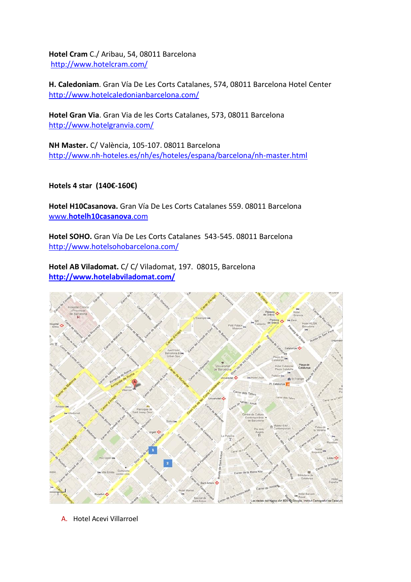**Hotel Cram** C./ Aribau, 54, 08011 Barcelona <http://www.hotelcram.com/>

**H. Caledoniam**. Gran Vía De Les Corts Catalanes, 574, 08011 Barcelona Hotel Center <http://www.hotelcaledonianbarcelona.com/>

**Hotel Gran Via**. Gran Via de les Corts Catalanes, 573, 08011 Barcelona <http://www.hotelgranvia.com/>

**NH Master.** C/ València, 105-107. 08011 Barcelona <http://www.nh-hoteles.es/nh/es/hoteles/espana/barcelona/nh-master.html>

**Hotels 4 star (140€-160€)**

**Hotel H10Casanova.** Gran Vía De Les Corts Catalanes 559. 08011 Barcelona www.**[hotelh10casanova](http://www.hotelh10casanova.com/)**.com

**Hotel SOHO.** Gran Vía De Les Corts Catalanes 543-545. 08011 Barcelona <http://www.hotelsohobarcelona.com/>

**Hotel AB Viladomat.** C/ C/ Viladomat, 197. 08015, Barcelona **<http://www.hotelabviladomat.com/>**



A. Hotel Acevi Villarroel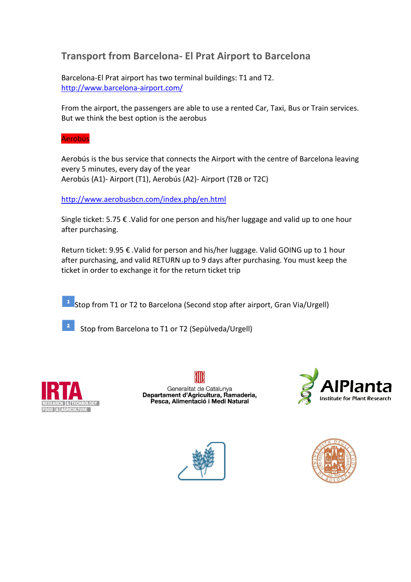### **Transport from Barcelona- El Prat Airport to Barcelona**

Barcelona-El Prat airport has two terminal buildings: T1 and T2. <http://www.barcelona-airport.com/>

From the airport, the passengers are able to use a rented Car, Taxi, Bus or Train services. But we think the best option is the aerobus

Aerobús

Aerobús is the bus service that connects the Airport with the centre of Barcelona leaving every 5 minutes, every day of the year Aerobús (A1)- Airport (T1), Aerobús (A2)- Airport (T2B or T2C)

<http://www.aerobusbcn.com/index.php/en.html>

Single ticket: 5.75 € .Valid for one person and his/her luggage and valid up to one hour after purchasing.

Return ticket: 9.95 € .Valid for person and his/her luggage. Valid GOING up to 1 hour after purchasing, and valid RETURN up to 9 days after purchasing. You must keep the ticket in order to exchange it for the return ticket trip

 $\frac{1}{1}$  Stop from T1 or T2 to Barcelona (Second stop after airport, Gran Via/Urgell)

Stop from Barcelona to T1 or T2 (Sepùlveda/Urgell)



Generalitat de Catalunya<br>Departament d'Agricultura, Ramaderia, Pesca, Alimentació i Medi Natural